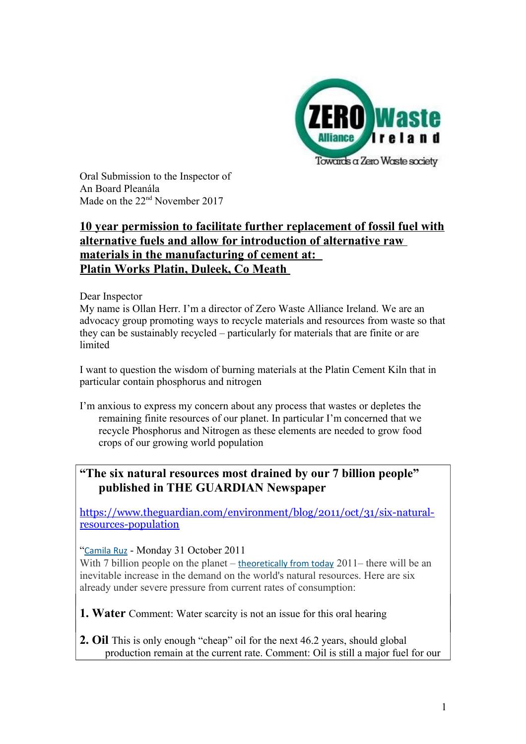

Oral Submission to the Inspector of An Board Pleanála Made on the 22<sup>nd</sup> November 2017

# **10 year permission to facilitate further replacement of fossil fuel with alternative fuels and allow for introduction of alternative raw materials in the manufacturing of cement at: Platin Works Platin, Duleek, Co Meath**

### Dear Inspector

My name is Ollan Herr. I'm a director of Zero Waste Alliance Ireland. We are an advocacy group promoting ways to recycle materials and resources from waste so that they can be sustainably recycled – particularly for materials that are finite or are limited

I want to question the wisdom of burning materials at the Platin Cement Kiln that in particular contain phosphorus and nitrogen

I'm anxious to express my concern about any process that wastes or depletes the remaining finite resources of our planet. In particular I'm concerned that we recycle Phosphorus and Nitrogen as these elements are needed to grow food crops of our growing world population

# **"The six natural resources most drained by our 7 billion people" published in THE GUARDIAN Newspaper**

[https://www.theguardian.com/environment/blog/2011/oct/31/six-natural](https://www.theguardian.com/environment/blog/2011/oct/31/six-natural-resources-population)[resources-population](https://www.theguardian.com/environment/blog/2011/oct/31/six-natural-resources-population)

## "[Camila Ruz](https://www.theguardian.com/profile/camila-ruz) - Monday 31 October 2011

With 7 billion people on the planet – [theoretically from today](http://www.unfpa.org/pds/trends.htm) 2011– there will be an inevitable increase in the demand on the world's natural resources. Here are six already under severe pressure from current rates of consumption:

**1. Water** Comment: Water scarcity is not an issue for this oral hearing

**2. Oil** This is only enough "cheap" oil for the next 46.2 years, should global production remain at the current rate. Comment: Oil is still a major fuel for our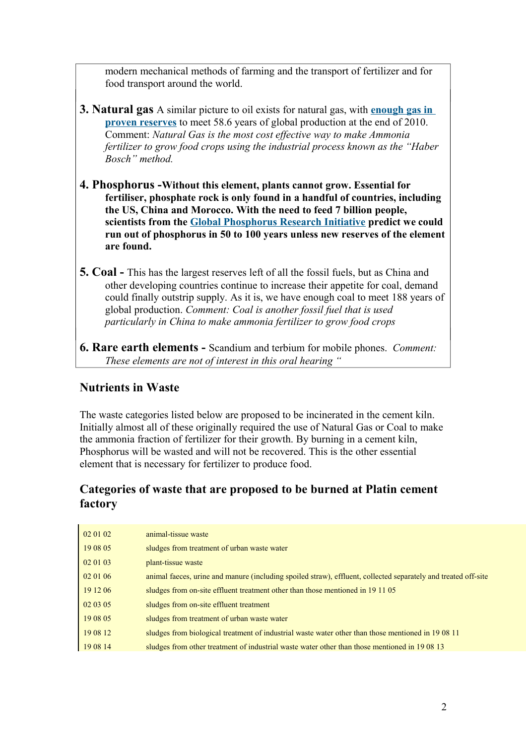modern mechanical methods of farming and the transport of fertilizer and for food transport around the world.

- **3. Natural gas** A similar picture to oil exists for natural gas, with **[enough gas in](http://www.bp.com/subsection.do?categoryId=9037150&contentId=7068622)  [proven reserves](http://www.bp.com/subsection.do?categoryId=9037150&contentId=7068622)** to meet 58.6 years of global production at the end of 2010. Comment: *Natural Gas is the most cost effective way to make Ammonia fertilizer to grow food crops using the industrial process known as the "Haber Bosch" method.*
- **4. Phosphorus -Without this element, plants cannot grow. Essential for fertiliser, phosphate rock is only found in a handful of countries, including the US, China and Morocco. With the need to feed 7 billion people, scientists from the [Global Phosphorus Research Initiative](http://phosphorusfutures.net/) predict we could run out of phosphorus in 50 to 100 years unless new reserves of the element are found.**
- **5. Coal** This has the largest reserves left of all the fossil fuels, but as China and other developing countries continue to increase their appetite for coal, demand could finally outstrip supply. As it is, we have enough coal to meet 188 years of global production. *Comment: Coal is another fossil fuel that is used particularly in China to make ammonia fertilizer to grow food crops*
- **6. Rare earth elements** Scandium and terbium for mobile phones. *Comment: These elements are not of interest in this oral hearing "*

# **Nutrients in Waste**

The waste categories listed below are proposed to be incinerated in the cement kiln. Initially almost all of these originally required the use of Natural Gas or Coal to make the ammonia fraction of fertilizer for their growth. By burning in a cement kiln, Phosphorus will be wasted and will not be recovered. This is the other essential element that is necessary for fertilizer to produce food.

# **Categories of waste that are proposed to be burned at Platin cement factory**

| 02 01 02 | animal-tissue waste                                                                                            |
|----------|----------------------------------------------------------------------------------------------------------------|
| 19 08 05 | sludges from treatment of urban waste water                                                                    |
| 02 01 03 | plant-tissue waste                                                                                             |
| 02 01 06 | animal facces, urine and manure (including spoiled straw), effluent, collected separately and treated off-site |
| 19 12 06 | sludges from on-site effluent treatment other than those mentioned in 19 11 05                                 |
| 02 03 05 | sludges from on-site effluent treatment                                                                        |
| 19 08 05 | sludges from treatment of urban waste water                                                                    |
| 19 08 12 | sludges from biological treatment of industrial waste water other than those mentioned in 1908 11              |
| 19 08 14 | sludges from other treatment of industrial waste water other than those mentioned in 1908 13                   |
|          |                                                                                                                |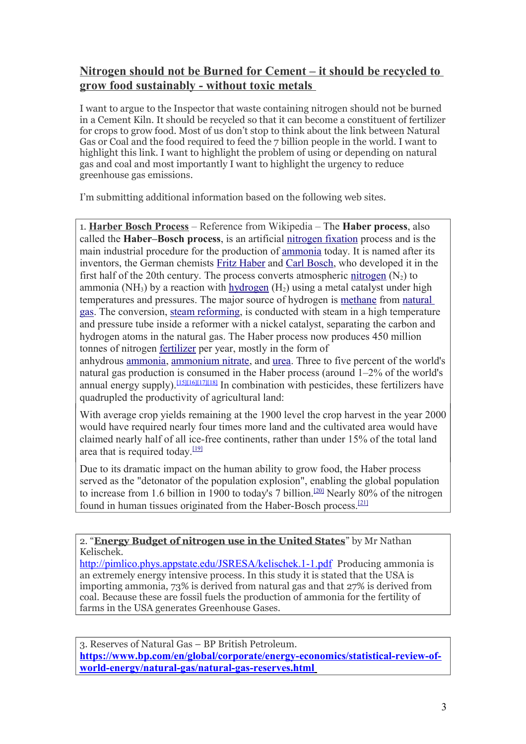# **Nitrogen should not be Burned for Cement – it should be recycled to grow food sustainably - without toxic metals**

I want to argue to the Inspector that waste containing nitrogen should not be burned in a Cement Kiln. It should be recycled so that it can become a constituent of fertilizer for crops to grow food. Most of us don't stop to think about the link between Natural Gas or Coal and the food required to feed the 7 billion people in the world. I want to highlight this link. I want to highlight the problem of using or depending on natural gas and coal and most importantly I want to highlight the urgency to reduce greenhouse gas emissions.

I'm submitting additional information based on the following web sites.

1. **Harber Bosch Process** – Reference from Wikipedia – The **Haber process**, also called the **Haber–Bosch process**, is an artificial [nitrogen fixation](https://en.wikipedia.org/wiki/Nitrogen_fixation) process and is the main industrial procedure for the production of [ammonia](https://en.wikipedia.org/wiki/Ammonia) today. It is named after its inventors, the German chemists [Fritz Haber](https://en.wikipedia.org/wiki/Fritz_Haber) and [Carl Bosch,](https://en.wikipedia.org/wiki/Carl_Bosch) who developed it in the first half of the 20th century. The process converts atmospheric [nitrogen](https://en.wikipedia.org/wiki/Nitrogen)  $(N_2)$  to ammonia (NH<sub>3</sub>) by a reaction with [hydrogen](https://en.wikipedia.org/wiki/Hydrogen)  $(H<sub>2</sub>)$  using a metal catalyst under high temperatures and pressures. The major source of hydrogen is [methane](https://en.wikipedia.org/wiki/Methane) from [natural](https://en.wikipedia.org/wiki/Natural_gas)  [gas.](https://en.wikipedia.org/wiki/Natural_gas) The conversion, [steam reforming,](https://en.wikipedia.org/wiki/Steam_reforming) is conducted with steam in a high temperature and pressure tube inside a reformer with a nickel catalyst, separating the carbon and hydrogen atoms in the natural gas. The Haber process now produces 450 million tonnes of nitrogen [fertilizer](https://en.wikipedia.org/wiki/Fertilizers) per year, mostly in the form of

anhydrous [ammonia,](https://en.wikipedia.org/wiki/Ammonia) [ammonium nitrate,](https://en.wikipedia.org/wiki/Ammonium_nitrate) and [urea.](https://en.wikipedia.org/wiki/Urea) Three to five percent of the world's natural gas production is consumed in the Haber process (around 1–2% of the world's annual energy supply).<sup>[\[15\]](https://en.wikipedia.org/wiki/Haber_process#cite_note-Smil_2004-15)[\[16\]](https://en.wikipedia.org/wiki/Haber_process#cite_note-16)[\[17\]](https://en.wikipedia.org/wiki/Haber_process#cite_note-17)[\[18\]](https://en.wikipedia.org/wiki/Haber_process#cite_note-18)</sup> In combination with pesticides, these fertilizers have quadrupled the productivity of agricultural land:

With average crop yields remaining at the 1900 level the crop harvest in the year 2000 would have required nearly four times more land and the cultivated area would have claimed nearly half of all ice-free continents, rather than under 15% of the total land area that is required today.<sup>[\[19\]](https://en.wikipedia.org/wiki/Haber_process#cite_note-Smil_2011-19)</sup>

Due to its dramatic impact on the human ability to grow food, the Haber process served as the "detonator of the population explosion", enabling the global population to increase from 1.6 billion in 1900 to today's 7 billion.<sup>[\[20\]](https://en.wikipedia.org/wiki/Haber_process#cite_note-Smil_1999-20)</sup> Nearly 80% of the nitrogen found in human tissues originated from the Haber-Bosch process.[\[21\]](https://en.wikipedia.org/wiki/Haber_process#cite_note-Howarth_2008-21)

2. "**Energy Budget of nitrogen use in the United States**" by Mr Nathan Kelischek.

<http://pimlico.phys.appstate.edu/JSRESA/kelischek.1-1.pdf> Producing ammonia is an extremely energy intensive process. In this study it is stated that the USA is importing ammonia, 73% is derived from natural gas and that 27% is derived from coal. Because these are fossil fuels the production of ammonia for the fertility of farms in the USA generates Greenhouse Gases.

3. Reserves of Natural Gas – BP British Petroleum. **[https://www.bp.com/en/global/corporate/energy-economics/statistical-review-of](https://www.bp.com/en/global/corporate/energy-economics/statistical-review-of-world-energy/natural-gas/natural-gas-reserves.html)  [world-energy/natural-gas/natural-gas-reserves.html](https://www.bp.com/en/global/corporate/energy-economics/statistical-review-of-world-energy/natural-gas/natural-gas-reserves.html)**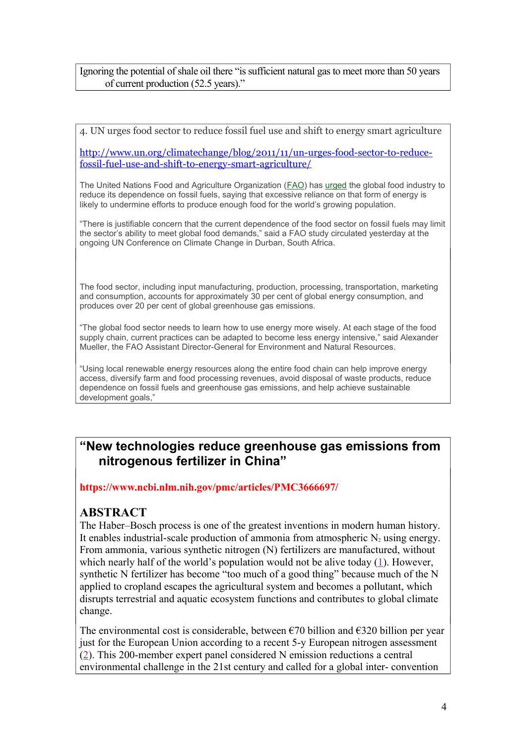### Ignoring the potential of shale oil there "is sufficient natural gas to meet more than 50 years of current production (52.5 years)."

4. UN urges food sector to reduce fossil fuel use and shift to energy smart agriculture

[http://www.un.org/climatechange/blog/2011/11/un-urges-food-sector-to-reduce](http://www.un.org/climatechange/blog/2011/11/un-urges-food-sector-to-reduce-fossil-fuel-use-and-shift-to-energy-smart-agriculture/)[fossil-fuel-use-and-shift-to-energy-smart-agriculture/](http://www.un.org/climatechange/blog/2011/11/un-urges-food-sector-to-reduce-fossil-fuel-use-and-shift-to-energy-smart-agriculture/)

The United Nations Food and Agriculture Organization [\(FAO\)](http://www.fao.org/) has [urged](http://www.fao.org/news/story/en/item/95161/icode/) the global food industry to reduce its dependence on fossil fuels, saying that excessive reliance on that form of energy is likely to undermine efforts to produce enough food for the world's growing population.

"There is justifiable concern that the current dependence of the food sector on fossil fuels may limit the sector's ability to meet global food demands," said a FAO study circulated yesterday at the ongoing UN Conference on Climate Change in Durban, South Africa.

The food sector, including input manufacturing, production, processing, transportation, marketing and consumption, accounts for approximately 30 per cent of global energy consumption, and produces over 20 per cent of global greenhouse gas emissions.

"The global food sector needs to learn how to use energy more wisely. At each stage of the food supply chain, current practices can be adapted to become less energy intensive," said Alexander Mueller, the FAO Assistant Director-General for Environment and Natural Resources.

"Using local renewable energy resources along the entire food chain can help improve energy access, diversify farm and food processing revenues, avoid disposal of waste products, reduce dependence on fossil fuels and greenhouse gas emissions, and help achieve sustainable development goals,"

# **"New technologies reduce greenhouse gas emissions from nitrogenous fertilizer in China"**

**https://www.ncbi.nlm.nih.gov/pmc/articles/PMC3666697/** 

## **ABSTRACT**

The Haber–Bosch process is one of the greatest inventions in modern human history. It enables industrial-scale production of ammonia from atmospheric  $N_2$  using energy. From ammonia, various synthetic nitrogen (N) fertilizers are manufactured, without which nearly half of the world's population would not be alive today  $(1)$ . However, synthetic N fertilizer has become "too much of a good thing" because much of the N applied to cropland escapes the agricultural system and becomes a pollutant, which disrupts terrestrial and aquatic ecosystem functions and contributes to global climate change.

The environmental cost is considerable, between  $\epsilon$ 70 billion and  $\epsilon$ 320 billion per year just for the European Union according to a recent 5-y European nitrogen assessment [\(2\)](https://www.ncbi.nlm.nih.gov/pmc/articles/PMC3666697/#r2). This 200-member expert panel considered N emission reductions a central environmental challenge in the 21st century and called for a global inter- convention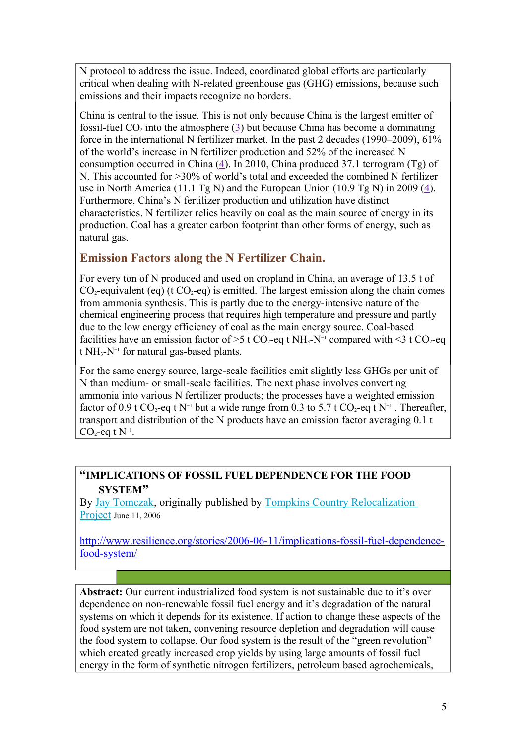N protocol to address the issue. Indeed, coordinated global efforts are particularly critical when dealing with N-related greenhouse gas (GHG) emissions, because such emissions and their impacts recognize no borders.

China is central to the issue. This is not only because China is the largest emitter of fossil-fuel  $CO<sub>2</sub>$  into the atmosphere [\(3\)](https://www.ncbi.nlm.nih.gov/pmc/articles/PMC3666697/#r3) but because China has become a dominating force in the international N fertilizer market. In the past 2 decades (1990–2009), 61% of the world's increase in N fertilizer production and 52% of the increased N consumption occurred in China [\(4\)](https://www.ncbi.nlm.nih.gov/pmc/articles/PMC3666697/#r4). In 2010, China produced 37.1 terrogram (Tg) of N. This accounted for >30% of world's total and exceeded the combined N fertilizer use in North America (11.1 Tg N) and the European Union (10.9 Tg N) in 2009 [\(4\)](https://www.ncbi.nlm.nih.gov/pmc/articles/PMC3666697/#r4). Furthermore, China's N fertilizer production and utilization have distinct characteristics. N fertilizer relies heavily on coal as the main source of energy in its production. Coal has a greater carbon footprint than other forms of energy, such as natural gas.

## **Emission Factors along the N Fertilizer Chain.**

For every ton of N produced and used on cropland in China, an average of 13.5 t of  $CO_2$ -equivalent (eq) (t  $CO_2$ -eq) is emitted. The largest emission along the chain comes from ammonia synthesis. This is partly due to the energy-intensive nature of the chemical engineering process that requires high temperature and pressure and partly due to the low energy efficiency of coal as the main energy source. Coal-based facilities have an emission factor of >5 t CO<sub>2</sub>-eq t NH<sub>3</sub>-N<sup>-1</sup> compared with <3 t CO<sub>2</sub>-eq t NH3-N−1 for natural gas-based plants.

For the same energy source, large-scale facilities emit slightly less GHGs per unit of N than medium- or small-scale facilities. The next phase involves converting ammonia into various N fertilizer products; the processes have a weighted emission factor of 0.9 t CO<sub>2</sub>-eq t N<sup>-1</sup> but a wide range from 0.3 to 5.7 t CO<sub>2</sub>-eq t N<sup>-1</sup>. Thereafter, transport and distribution of the N products have an emission factor averaging 0.1 t CO<sub>2</sub>-eq t  $N^{-1}$ .

## **"IMPLICATIONS OF FOSSIL FUEL DEPENDENCE FOR THE FOOD SYSTEM"**

By [Jay Tomczak,](http://www.resilience.org/resilience-author/jay-tomczak/) originally published by [Tompkins Country Relocalization](http://www.tclocal.org/?oc=DbDisplay&dn=Postings&or=vertical&oi=25)  [Project](http://www.tclocal.org/?oc=DbDisplay&dn=Postings&or=vertical&oi=25) June 11, 2006

[http://www.resilience.org/stories/2006-06-11/implications-fossil-fuel-dependence](http://www.resilience.org/stories/2006-06-11/implications-fossil-fuel-dependence-food-system/)[food-system/](http://www.resilience.org/stories/2006-06-11/implications-fossil-fuel-dependence-food-system/)

**Abstract:** Our current industrialized food system is not sustainable due to it's over dependence on non-renewable fossil fuel energy and it's degradation of the natural systems on which it depends for its existence. If action to change these aspects of the food system are not taken, convening resource depletion and degradation will cause the food system to collapse. Our food system is the result of the "green revolution" which created greatly increased crop yields by using large amounts of fossil fuel energy in the form of synthetic nitrogen fertilizers, petroleum based agrochemicals,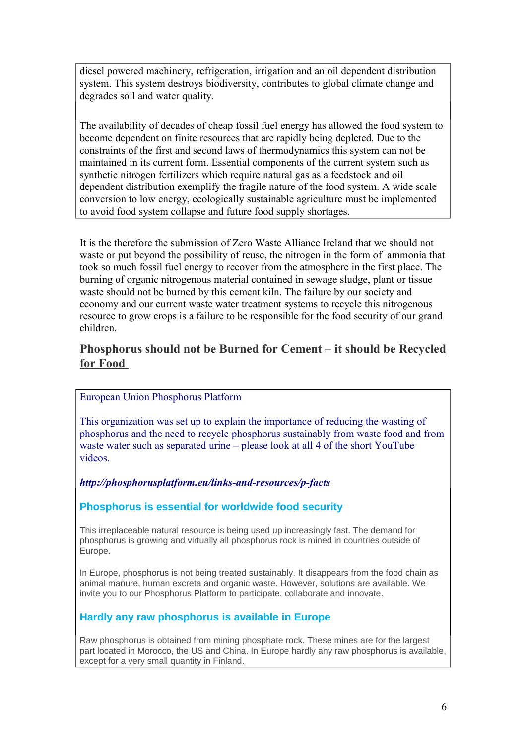diesel powered machinery, refrigeration, irrigation and an oil dependent distribution system. This system destroys biodiversity, contributes to global climate change and degrades soil and water quality.

The availability of decades of cheap fossil fuel energy has allowed the food system to become dependent on finite resources that are rapidly being depleted. Due to the constraints of the first and second laws of thermodynamics this system can not be maintained in its current form. Essential components of the current system such as synthetic nitrogen fertilizers which require natural gas as a feedstock and oil dependent distribution exemplify the fragile nature of the food system. A wide scale conversion to low energy, ecologically sustainable agriculture must be implemented to avoid food system collapse and future food supply shortages.

It is the therefore the submission of Zero Waste Alliance Ireland that we should not waste or put beyond the possibility of reuse, the nitrogen in the form of ammonia that took so much fossil fuel energy to recover from the atmosphere in the first place. The burning of organic nitrogenous material contained in sewage sludge, plant or tissue waste should not be burned by this cement kiln. The failure by our society and economy and our current waste water treatment systems to recycle this nitrogenous resource to grow crops is a failure to be responsible for the food security of our grand children.

## **Phosphorus should not be Burned for Cement – it should be Recycled for Food**

## European Union Phosphorus Platform

This organization was set up to explain the importance of reducing the wasting of phosphorus and the need to recycle phosphorus sustainably from waste food and from waste water such as separated urine – please look at all 4 of the short YouTube videos.

### *<http://phosphorusplatform.eu/links-and-resources/p-facts>*

### **Phosphorus is essential for worldwide food security**

This irreplaceable natural resource is being used up increasingly fast. The demand for phosphorus is growing and virtually all phosphorus rock is mined in countries outside of Europe.

In Europe, phosphorus is not being treated sustainably. It disappears from the food chain as animal manure, human excreta and organic waste. However, solutions are available. We invite you to our Phosphorus Platform to participate, collaborate and innovate.

### **Hardly any raw phosphorus is available in Europe**

Raw phosphorus is obtained from mining phosphate rock. These mines are for the largest part located in Morocco, the US and China. In Europe hardly any raw phosphorus is available, except for a very small quantity in Finland.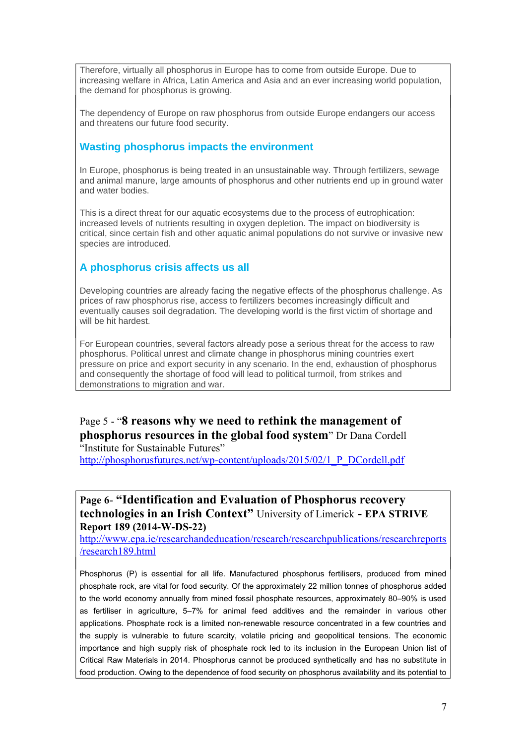Therefore, virtually all phosphorus in Europe has to come from outside Europe. Due to increasing welfare in Africa, Latin America and Asia and an ever increasing world population, the demand for phosphorus is growing.

The dependency of Europe on raw phosphorus from outside Europe endangers our access and threatens our future food security.

### **Wasting phosphorus impacts the environment**

In Europe, phosphorus is being treated in an unsustainable way. Through fertilizers, sewage and animal manure, large amounts of phosphorus and other nutrients end up in ground water and water bodies.

This is a direct threat for our aquatic ecosystems due to the process of eutrophication: increased levels of nutrients resulting in oxygen depletion. The impact on biodiversity is critical, since certain fish and other aquatic animal populations do not survive or invasive new species are introduced.

## **A phosphorus crisis affects us all**

Developing countries are already facing the negative effects of the phosphorus challenge. As prices of raw phosphorus rise, access to fertilizers becomes increasingly difficult and eventually causes soil degradation. The developing world is the first victim of shortage and will be hit hardest.

For European countries, several factors already pose a serious threat for the access to raw phosphorus. Political unrest and climate change in phosphorus mining countries exert pressure on price and export security in any scenario. In the end, exhaustion of phosphorus and consequently the shortage of food will lead to political turmoil, from strikes and demonstrations to migration and war.

## Page 5 - "**8 reasons why we need to rethink the management of phosphorus resources in the global food system**" Dr Dana Cordell "Institute for Sustainable Futures"

[http://phosphorusfutures.net/wp-content/uploads/2015/02/1\\_P\\_DCordell.pdf](http://phosphorusfutures.net/wp-content/uploads/2015/02/1_P_DCordell.pdf)

## **Page 6- "Identification and Evaluation of Phosphorus recovery technologies in an Irish Context"** University of Limerick **- EPA STRIVE Report 189 (2014-W-DS-22)**

[http://www.epa.ie/researchandeducation/research/researchpublications/researchreports](http://www.epa.ie/researchandeducation/research/researchpublications/researchreports/research189.html) [/research189.html](http://www.epa.ie/researchandeducation/research/researchpublications/researchreports/research189.html)

Phosphorus (P) is essential for all life. Manufactured phosphorus fertilisers, produced from mined phosphate rock, are vital for food security. Of the approximately 22 million tonnes of phosphorus added to the world economy annually from mined fossil phosphate resources, approximately 80–90% is used as fertiliser in agriculture, 5–7% for animal feed additives and the remainder in various other applications. Phosphate rock is a limited non-renewable resource concentrated in a few countries and the supply is vulnerable to future scarcity, volatile pricing and geopolitical tensions. The economic importance and high supply risk of phosphate rock led to its inclusion in the European Union list of Critical Raw Materials in 2014. Phosphorus cannot be produced synthetically and has no substitute in food production. Owing to the dependence of food security on phosphorus availability and its potential to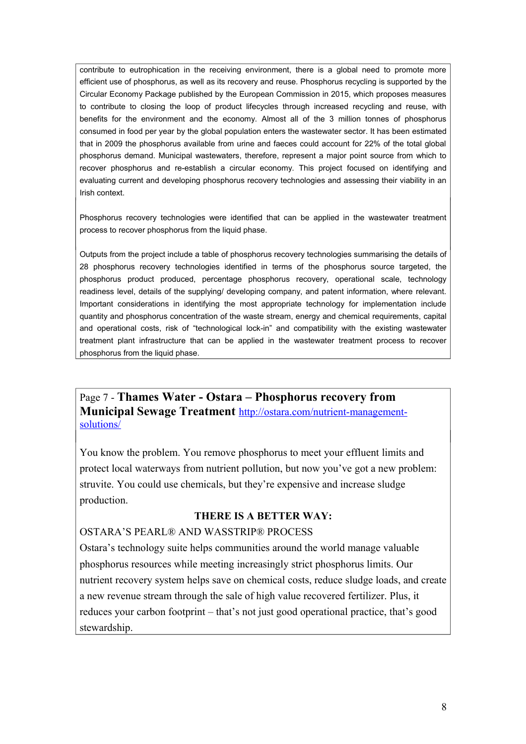contribute to eutrophication in the receiving environment, there is a global need to promote more efficient use of phosphorus, as well as its recovery and reuse. Phosphorus recycling is supported by the Circular Economy Package published by the European Commission in 2015, which proposes measures to contribute to closing the loop of product lifecycles through increased recycling and reuse, with benefits for the environment and the economy. Almost all of the 3 million tonnes of phosphorus consumed in food per year by the global population enters the wastewater sector. It has been estimated that in 2009 the phosphorus available from urine and faeces could account for 22% of the total global phosphorus demand. Municipal wastewaters, therefore, represent a major point source from which to recover phosphorus and re-establish a circular economy. This project focused on identifying and evaluating current and developing phosphorus recovery technologies and assessing their viability in an Irish context.

Phosphorus recovery technologies were identified that can be applied in the wastewater treatment process to recover phosphorus from the liquid phase.

Outputs from the project include a table of phosphorus recovery technologies summarising the details of 28 phosphorus recovery technologies identified in terms of the phosphorus source targeted, the phosphorus product produced, percentage phosphorus recovery, operational scale, technology readiness level, details of the supplying/ developing company, and patent information, where relevant. Important considerations in identifying the most appropriate technology for implementation include quantity and phosphorus concentration of the waste stream, energy and chemical requirements, capital and operational costs, risk of "technological lock-in" and compatibility with the existing wastewater treatment plant infrastructure that can be applied in the wastewater treatment process to recover phosphorus from the liquid phase.

Page 7 - **Thames Water - Ostara – Phosphorus recovery from Municipal Sewage Treatment** [http://ostara.com/nutrient-management](http://ostara.com/nutrient-management-solutions/)[solutions/](http://ostara.com/nutrient-management-solutions/)

You know the problem. You remove phosphorus to meet your effluent limits and protect local waterways from nutrient pollution, but now you've got a new problem: struvite. You could use chemicals, but they're expensive and increase sludge production.

### **THERE IS A BETTER WAY:**

#### OSTARA'S PEARL® AND WASSTRIP® PROCESS

Ostara's technology suite helps communities around the world manage valuable phosphorus resources while meeting increasingly strict phosphorus limits. Our nutrient recovery system helps save on chemical costs, reduce sludge loads, and create a new revenue stream through the sale of high value recovered fertilizer. Plus, it reduces your carbon footprint – that's not just good operational practice, that's good stewardship.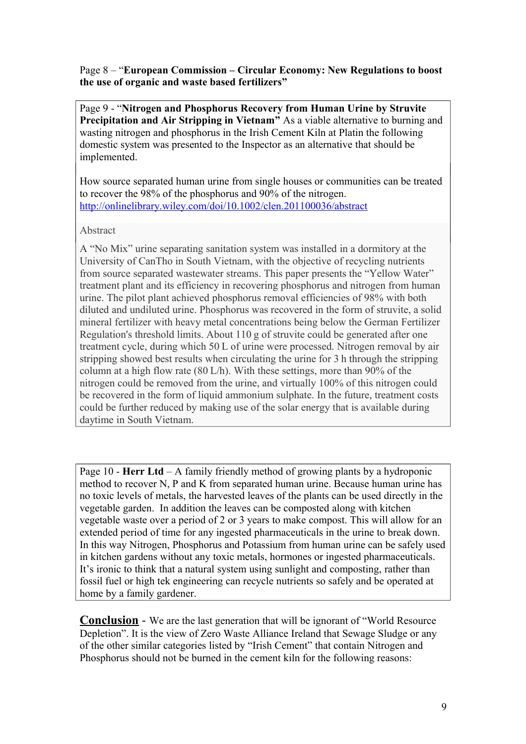Page 8 – "**European Commission – Circular Economy: New Regulations to boost the use of organic and waste based fertilizers"** 

Page 9 - "**Nitrogen and Phosphorus Recovery from Human Urine by Struvite Precipitation and Air Stripping in Vietnam"** As a viable alternative to burning and wasting nitrogen and phosphorus in the Irish Cement Kiln at Platin the following domestic system was presented to the Inspector as an alternative that should be implemented.

How source separated human urine from single houses or communities can be treated to recover the 98% of the phosphorus and 90% of the nitrogen. <http://onlinelibrary.wiley.com/doi/10.1002/clen.201100036/abstract>

### Abstract

A "No Mix" urine separating sanitation system was installed in a dormitory at the University of CanTho in South Vietnam, with the objective of recycling nutrients from source separated wastewater streams. This paper presents the "Yellow Water" treatment plant and its efficiency in recovering phosphorus and nitrogen from human urine. The pilot plant achieved phosphorus removal efficiencies of 98% with both diluted and undiluted urine. Phosphorus was recovered in the form of struvite, a solid mineral fertilizer with heavy metal concentrations being below the German Fertilizer Regulation's threshold limits. About 110 g of struvite could be generated after one treatment cycle, during which 50 L of urine were processed. Nitrogen removal by air stripping showed best results when circulating the urine for 3 h through the stripping column at a high flow rate (80 L/h). With these settings, more than 90% of the nitrogen could be removed from the urine, and virtually 100% of this nitrogen could be recovered in the form of liquid ammonium sulphate. In the future, treatment costs could be further reduced by making use of the solar energy that is available during daytime in South Vietnam.

Page 10 - **Herr Ltd** – A family friendly method of growing plants by a hydroponic method to recover N, P and K from separated human urine. Because human urine has no toxic levels of metals, the harvested leaves of the plants can be used directly in the vegetable garden. In addition the leaves can be composted along with kitchen vegetable waste over a period of 2 or 3 years to make compost. This will allow for an extended period of time for any ingested pharmaceuticals in the urine to break down. In this way Nitrogen, Phosphorus and Potassium from human urine can be safely used in kitchen gardens without any toxic metals, hormones or ingested pharmaceuticals. It's ironic to think that a natural system using sunlight and composting, rather than fossil fuel or high tek engineering can recycle nutrients so safely and be operated at home by a family gardener.

**Conclusion** - We are the last generation that will be ignorant of "World Resource Depletion". It is the view of Zero Waste Alliance Ireland that Sewage Sludge or any of the other similar categories listed by "Irish Cement" that contain Nitrogen and Phosphorus should not be burned in the cement kiln for the following reasons: